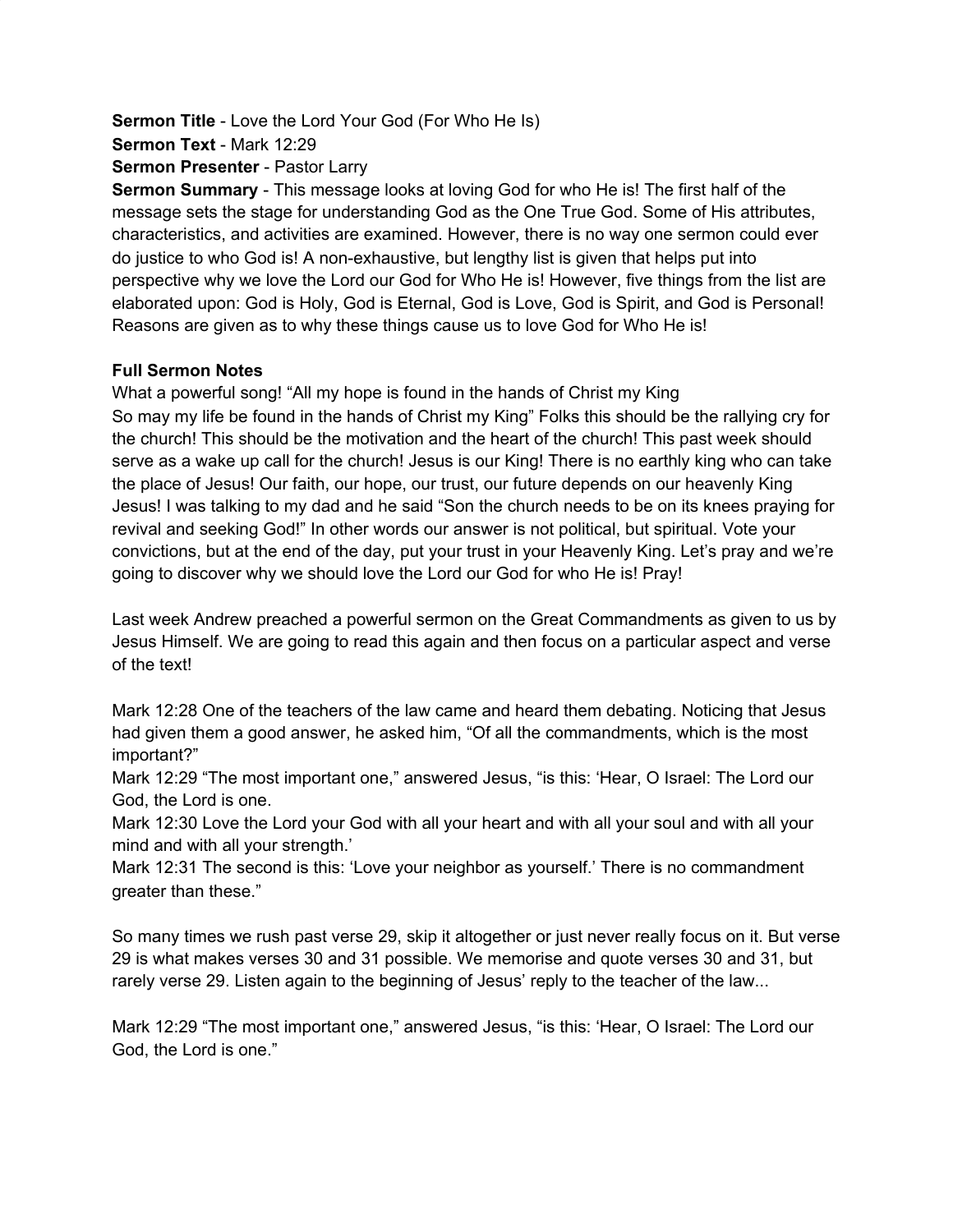**Sermon Title** - Love the Lord Your God (For Who He Is) **Sermon Text** - Mark 12:29

**Sermon Presenter** - Pastor Larry

**Sermon Summary** - This message looks at loving God for who He is! The first half of the message sets the stage for understanding God as the One True God. Some of His attributes, characteristics, and activities are examined. However, there is no way one sermon could ever do justice to who God is! A non-exhaustive, but lengthy list is given that helps put into perspective why we love the Lord our God for Who He is! However, five things from the list are elaborated upon: God is Holy, God is Eternal, God is Love, God is Spirit, and God is Personal! Reasons are given as to why these things cause us to love God for Who He is!

#### **Full Sermon Notes**

What a powerful song! "All my hope is found in the hands of Christ my King So may my life be found in the hands of Christ my King" Folks this should be the rallying cry for the church! This should be the motivation and the heart of the church! This past week should serve as a wake up call for the church! Jesus is our King! There is no earthly king who can take the place of Jesus! Our faith, our hope, our trust, our future depends on our heavenly King Jesus! I was talking to my dad and he said "Son the church needs to be on its knees praying for revival and seeking God!" In other words our answer is not political, but spiritual. Vote your convictions, but at the end of the day, put your trust in your Heavenly King. Let's pray and we're going to discover why we should love the Lord our God for who He is! Pray!

Last week Andrew preached a powerful sermon on the Great Commandments as given to us by Jesus Himself. We are going to read this again and then focus on a particular aspect and verse of the text!

Mark 12:28 One of the teachers of the law came and heard them debating. Noticing that Jesus had given them a good answer, he asked him, "Of all the commandments, which is the most important?"

Mark 12:29 "The most important one," answered Jesus, "is this: 'Hear, O Israel: The Lord our God, the Lord is one.

Mark 12:30 Love the Lord your God with all your heart and with all your soul and with all your mind and with all your strength.'

Mark 12:31 The second is this: 'Love your neighbor as yourself.' There is no commandment greater than these."

So many times we rush past verse 29, skip it altogether or just never really focus on it. But verse 29 is what makes verses 30 and 31 possible. We memorise and quote verses 30 and 31, but rarely verse 29. Listen again to the beginning of Jesus' reply to the teacher of the law...

Mark 12:29 "The most important one," answered Jesus, "is this: 'Hear, O Israel: The Lord our God, the Lord is one."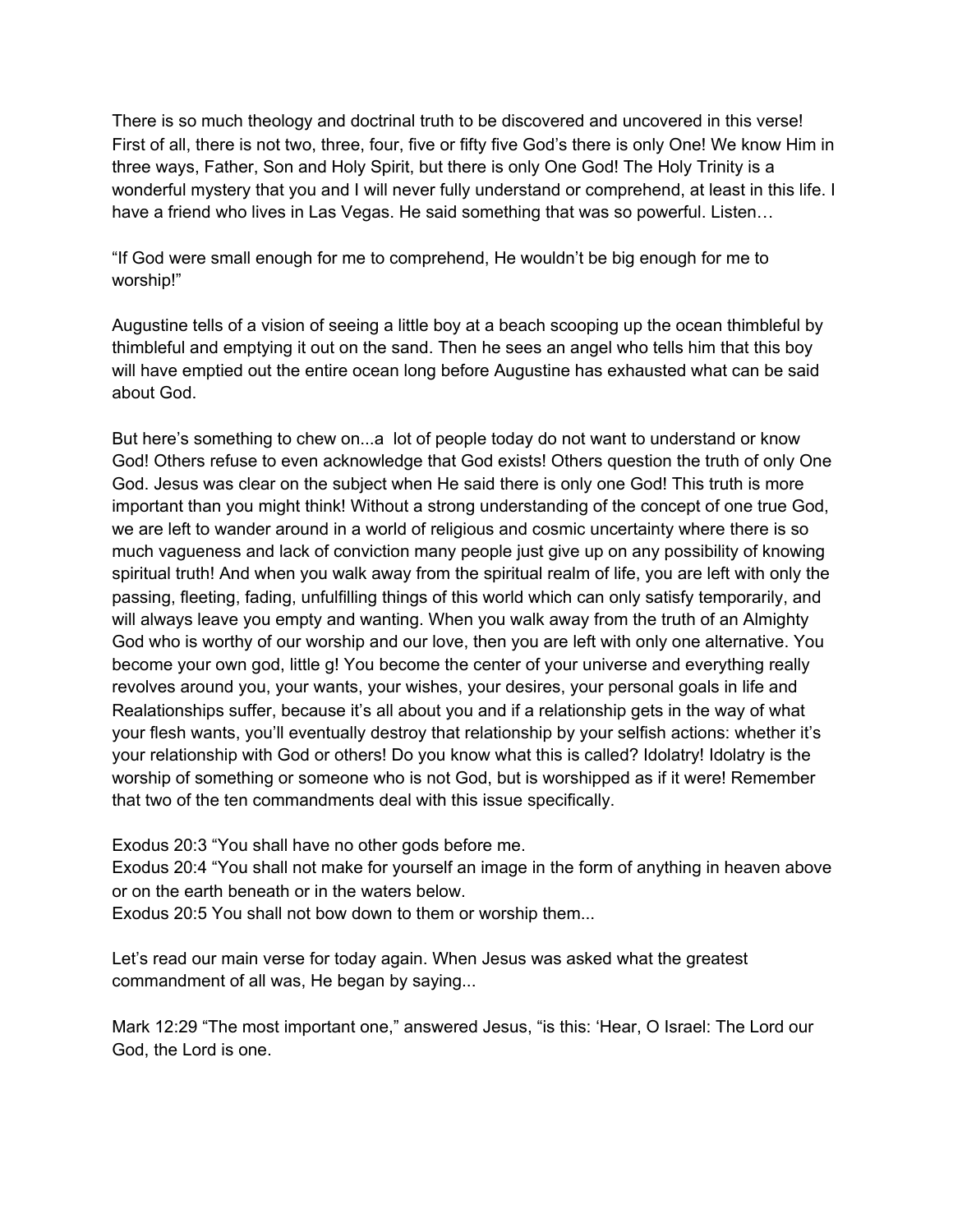There is so much theology and doctrinal truth to be discovered and uncovered in this verse! First of all, there is not two, three, four, five or fifty five God's there is only One! We know Him in three ways, Father, Son and Holy Spirit, but there is only One God! The Holy Trinity is a wonderful mystery that you and I will never fully understand or comprehend, at least in this life. I have a friend who lives in Las Vegas. He said something that was so powerful. Listen…

"If God were small enough for me to comprehend, He wouldn't be big enough for me to worship!"

Augustine tells of a vision of seeing a little boy at a beach scooping up the ocean thimbleful by thimbleful and emptying it out on the sand. Then he sees an angel who tells him that this boy will have emptied out the entire ocean long before Augustine has exhausted what can be said about God.

But here's something to chew on...a lot of people today do not want to understand or know God! Others refuse to even acknowledge that God exists! Others question the truth of only One God. Jesus was clear on the subject when He said there is only one God! This truth is more important than you might think! Without a strong understanding of the concept of one true God, we are left to wander around in a world of religious and cosmic uncertainty where there is so much vagueness and lack of conviction many people just give up on any possibility of knowing spiritual truth! And when you walk away from the spiritual realm of life, you are left with only the passing, fleeting, fading, unfulfilling things of this world which can only satisfy temporarily, and will always leave you empty and wanting. When you walk away from the truth of an Almighty God who is worthy of our worship and our love, then you are left with only one alternative. You become your own god, little g! You become the center of your universe and everything really revolves around you, your wants, your wishes, your desires, your personal goals in life and Realationships suffer, because it's all about you and if a relationship gets in the way of what your flesh wants, you'll eventually destroy that relationship by your selfish actions: whether it's your relationship with God or others! Do you know what this is called? Idolatry! Idolatry is the worship of something or someone who is not God, but is worshipped as if it were! Remember that two of the ten commandments deal with this issue specifically.

Exodus 20:3 "You shall have no other gods before me.

Exodus 20:4 "You shall not make for yourself an image in the form of anything in heaven above or on the earth beneath or in the waters below.

Exodus 20:5 You shall not bow down to them or worship them...

Let's read our main verse for today again. When Jesus was asked what the greatest commandment of all was, He began by saying...

Mark 12:29 "The most important one," answered Jesus, "is this: 'Hear, O Israel: The Lord our God, the Lord is one.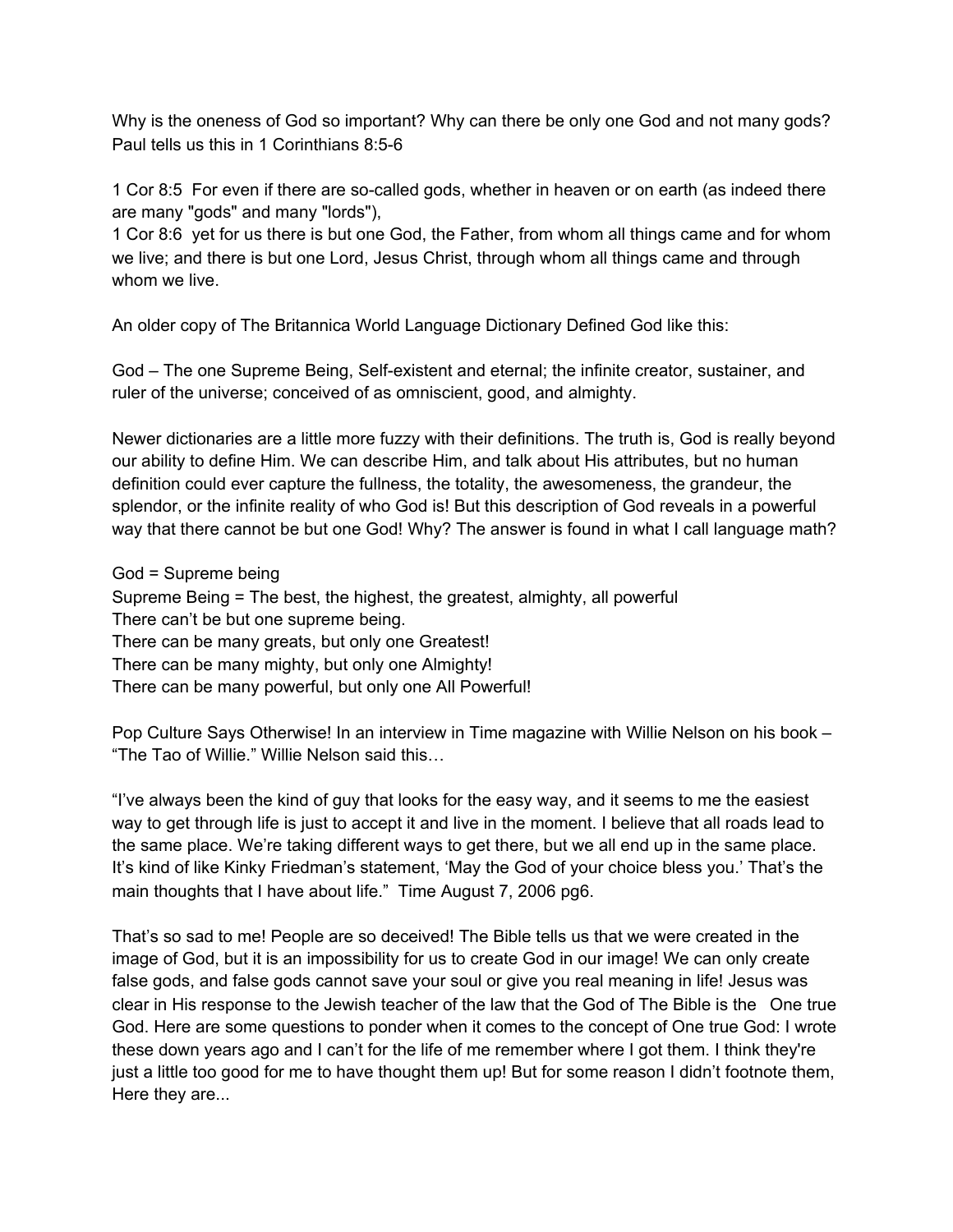Why is the oneness of God so important? Why can there be only one God and not many gods? Paul tells us this in 1 Corinthians 8:5-6

1 Cor 8:5 For even if there are so-called gods, whether in heaven or on earth (as indeed there are many "gods" and many "lords"),

1 Cor 8:6 yet for us there is but one God, the Father, from whom all things came and for whom we live; and there is but one Lord, Jesus Christ, through whom all things came and through whom we live.

An older copy of The Britannica World Language Dictionary Defined God like this:

God – The one Supreme Being, Self-existent and eternal; the infinite creator, sustainer, and ruler of the universe; conceived of as omniscient, good, and almighty.

Newer dictionaries are a little more fuzzy with their definitions. The truth is, God is really beyond our ability to define Him. We can describe Him, and talk about His attributes, but no human definition could ever capture the fullness, the totality, the awesomeness, the grandeur, the splendor, or the infinite reality of who God is! But this description of God reveals in a powerful way that there cannot be but one God! Why? The answer is found in what I call language math?

God = Supreme being

Supreme Being = The best, the highest, the greatest, almighty, all powerful There can't be but one supreme being. There can be many greats, but only one Greatest! There can be many mighty, but only one Almighty! There can be many powerful, but only one All Powerful!

Pop Culture Says Otherwise! In an interview in Time magazine with Willie Nelson on his book – "The Tao of Willie." Willie Nelson said this…

"I've always been the kind of guy that looks for the easy way, and it seems to me the easiest way to get through life is just to accept it and live in the moment. I believe that all roads lead to the same place. We're taking different ways to get there, but we all end up in the same place. It's kind of like Kinky Friedman's statement, 'May the God of your choice bless you.' That's the main thoughts that I have about life." Time August 7, 2006 pg6.

That's so sad to me! People are so deceived! The Bible tells us that we were created in the image of God, but it is an impossibility for us to create God in our image! We can only create false gods, and false gods cannot save your soul or give you real meaning in life! Jesus was clear in His response to the Jewish teacher of the law that the God of The Bible is the One true God. Here are some questions to ponder when it comes to the concept of One true God: I wrote these down years ago and I can't for the life of me remember where I got them. I think they're just a little too good for me to have thought them up! But for some reason I didn't footnote them, Here they are...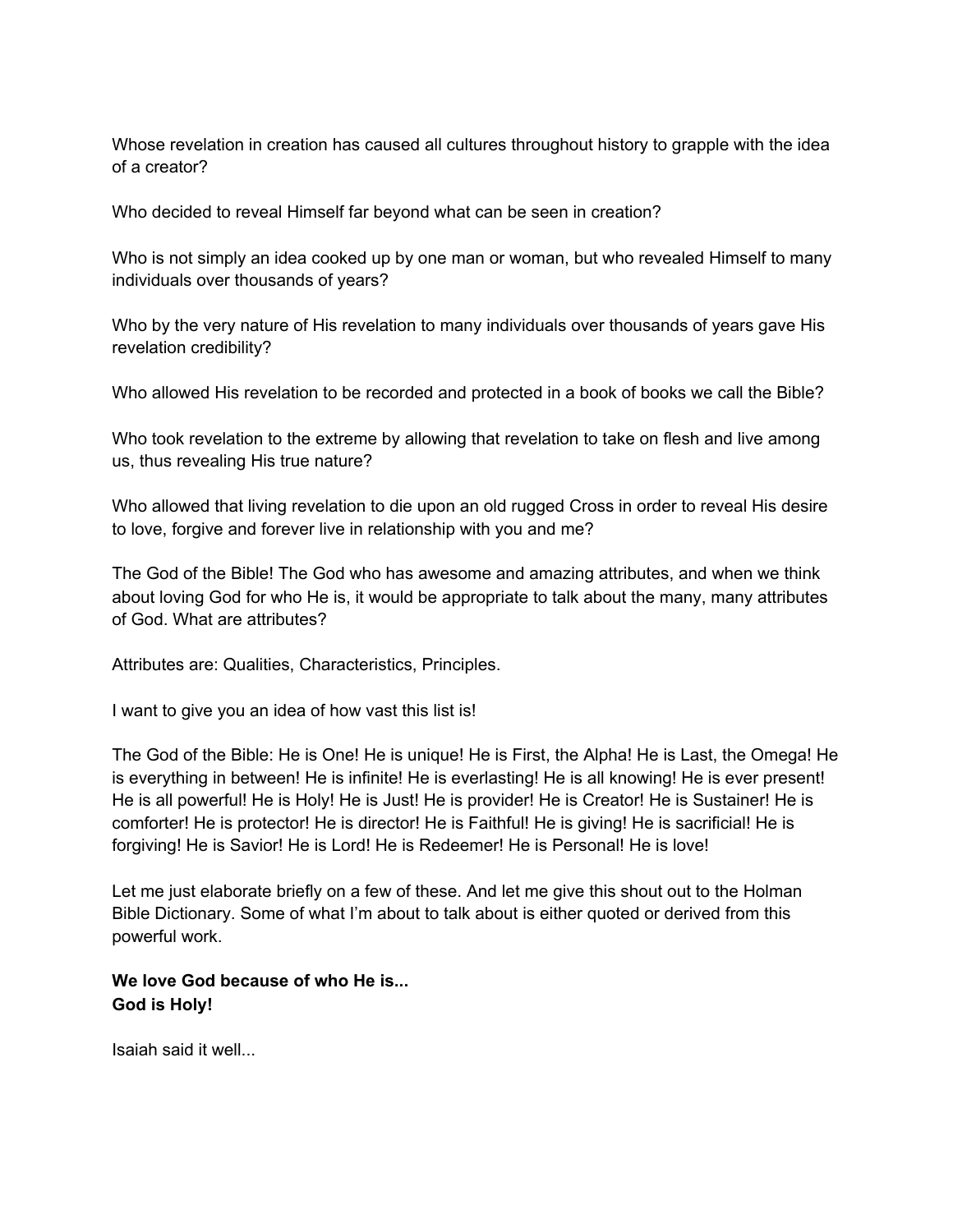Whose revelation in creation has caused all cultures throughout history to grapple with the idea of a creator?

Who decided to reveal Himself far beyond what can be seen in creation?

Who is not simply an idea cooked up by one man or woman, but who revealed Himself to many individuals over thousands of years?

Who by the very nature of His revelation to many individuals over thousands of years gave His revelation credibility?

Who allowed His revelation to be recorded and protected in a book of books we call the Bible?

Who took revelation to the extreme by allowing that revelation to take on flesh and live among us, thus revealing His true nature?

Who allowed that living revelation to die upon an old rugged Cross in order to reveal His desire to love, forgive and forever live in relationship with you and me?

The God of the Bible! The God who has awesome and amazing attributes, and when we think about loving God for who He is, it would be appropriate to talk about the many, many attributes of God. What are attributes?

Attributes are: Qualities, Characteristics, Principles.

I want to give you an idea of how vast this list is!

The God of the Bible: He is One! He is unique! He is First, the Alpha! He is Last, the Omega! He is everything in between! He is infinite! He is everlasting! He is all knowing! He is ever present! He is all powerful! He is Holy! He is Just! He is provider! He is Creator! He is Sustainer! He is comforter! He is protector! He is director! He is Faithful! He is giving! He is sacrificial! He is forgiving! He is Savior! He is Lord! He is Redeemer! He is Personal! He is love!

Let me just elaborate briefly on a few of these. And let me give this shout out to the Holman Bible Dictionary. Some of what I'm about to talk about is either quoted or derived from this powerful work.

### **We love God because of who He is... God is Holy!**

Isaiah said it well...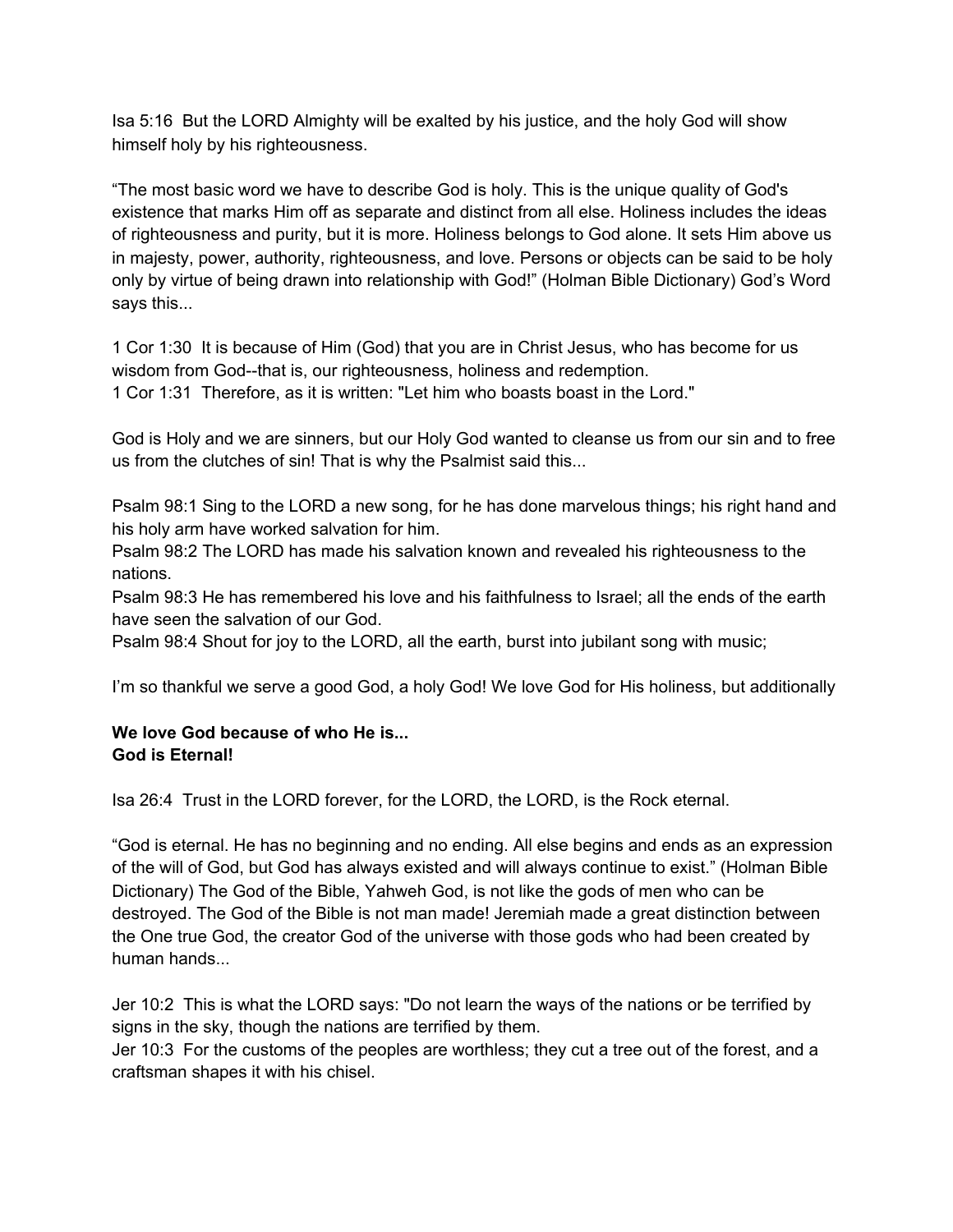Isa 5:16 But the LORD Almighty will be exalted by his justice, and the holy God will show himself holy by his righteousness.

"The most basic word we have to describe God is holy. This is the unique quality of God's existence that marks Him off as separate and distinct from all else. Holiness includes the ideas of righteousness and purity, but it is more. Holiness belongs to God alone. It sets Him above us in majesty, power, authority, righteousness, and love. Persons or objects can be said to be holy only by virtue of being drawn into relationship with God!" (Holman Bible Dictionary) God's Word says this...

1 Cor 1:30 It is because of Him (God) that you are in Christ Jesus, who has become for us wisdom from God--that is, our righteousness, holiness and redemption. 1 Cor 1:31 Therefore, as it is written: "Let him who boasts boast in the Lord."

God is Holy and we are sinners, but our Holy God wanted to cleanse us from our sin and to free us from the clutches of sin! That is why the Psalmist said this...

Psalm 98:1 Sing to the LORD a new song, for he has done marvelous things; his right hand and his holy arm have worked salvation for him.

Psalm 98:2 The LORD has made his salvation known and revealed his righteousness to the nations.

Psalm 98:3 He has remembered his love and his faithfulness to Israel; all the ends of the earth have seen the salvation of our God.

Psalm 98:4 Shout for joy to the LORD, all the earth, burst into jubilant song with music;

I'm so thankful we serve a good God, a holy God! We love God for His holiness, but additionally

### **We love God because of who He is... God is Eternal!**

Isa 26:4 Trust in the LORD forever, for the LORD, the LORD, is the Rock eternal.

"God is eternal. He has no beginning and no ending. All else begins and ends as an expression of the will of God, but God has always existed and will always continue to exist." (Holman Bible Dictionary) The God of the Bible, Yahweh God, is not like the gods of men who can be destroyed. The God of the Bible is not man made! Jeremiah made a great distinction between the One true God, the creator God of the universe with those gods who had been created by human hands...

Jer 10:2 This is what the LORD says: "Do not learn the ways of the nations or be terrified by signs in the sky, though the nations are terrified by them.

Jer 10:3 For the customs of the peoples are worthless; they cut a tree out of the forest, and a craftsman shapes it with his chisel.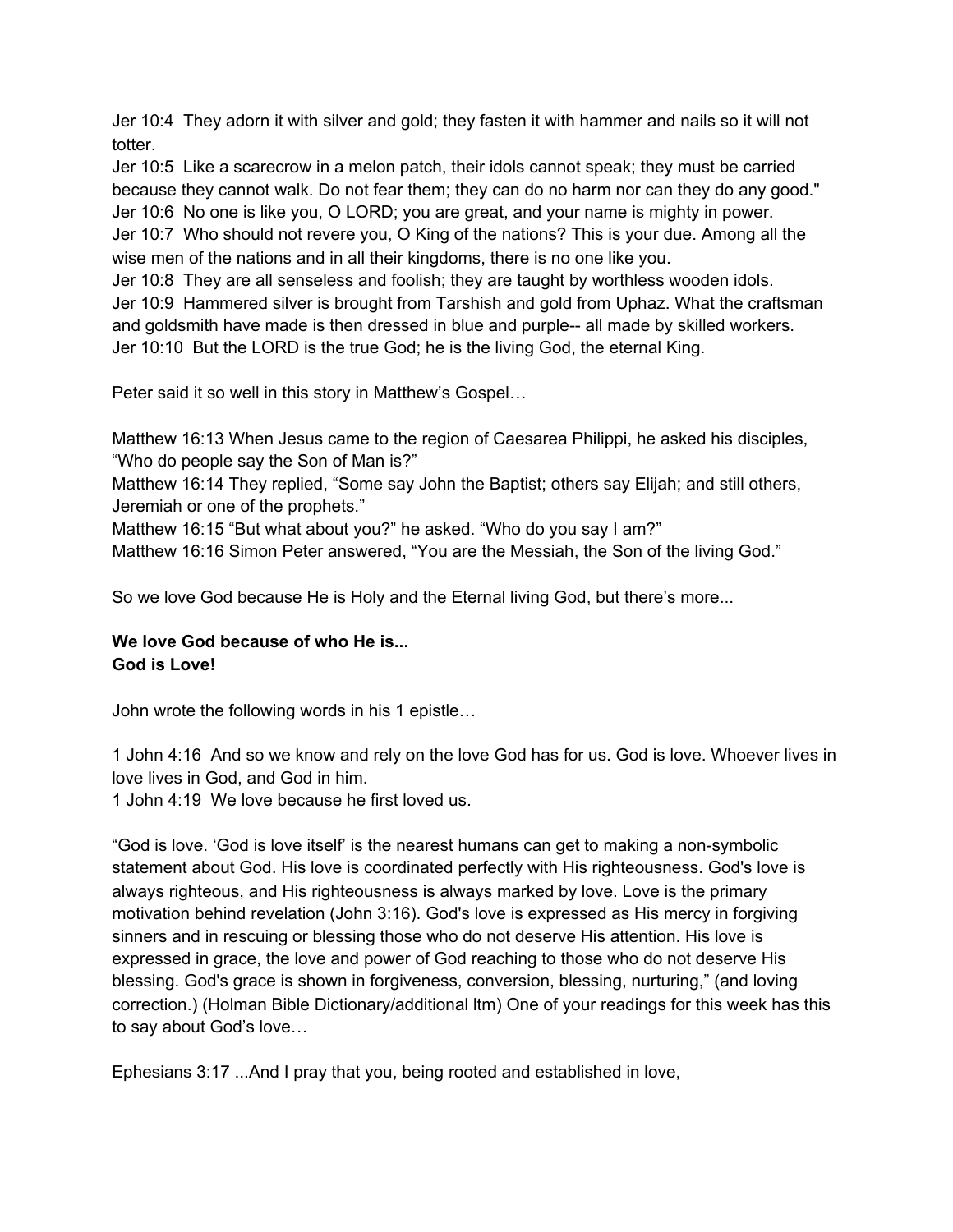Jer 10:4 They adorn it with silver and gold; they fasten it with hammer and nails so it will not totter.

Jer 10:5 Like a scarecrow in a melon patch, their idols cannot speak; they must be carried because they cannot walk. Do not fear them; they can do no harm nor can they do any good." Jer 10:6 No one is like you, O LORD; you are great, and your name is mighty in power. Jer 10:7 Who should not revere you, O King of the nations? This is your due. Among all the wise men of the nations and in all their kingdoms, there is no one like you.

Jer 10:8 They are all senseless and foolish; they are taught by worthless wooden idols. Jer 10:9 Hammered silver is brought from Tarshish and gold from Uphaz. What the craftsman and goldsmith have made is then dressed in blue and purple-- all made by skilled workers. Jer 10:10 But the LORD is the true God; he is the living God, the eternal King.

Peter said it so well in this story in Matthew's Gospel…

Matthew 16:13 When Jesus came to the region of Caesarea Philippi, he asked his disciples, "Who do people say the Son of Man is?"

Matthew 16:14 They replied, "Some say John the Baptist; others say Elijah; and still others, Jeremiah or one of the prophets."

Matthew 16:15 "But what about you?" he asked. "Who do you say I am?"

Matthew 16:16 Simon Peter answered, "You are the Messiah, the Son of the living God."

So we love God because He is Holy and the Eternal living God, but there's more...

# **We love God because of who He is... God is Love!**

John wrote the following words in his 1 epistle…

1 John 4:16 And so we know and rely on the love God has for us. God is love. Whoever lives in love lives in God, and God in him.

1 John 4:19 We love because he first loved us.

"God is love. 'God is love itself' is the nearest humans can get to making a non-symbolic statement about God. His love is coordinated perfectly with His righteousness. God's love is always righteous, and His righteousness is always marked by love. Love is the primary motivation behind revelation (John 3:16). God's love is expressed as His mercy in forgiving sinners and in rescuing or blessing those who do not deserve His attention. His love is expressed in grace, the love and power of God reaching to those who do not deserve His blessing. God's grace is shown in forgiveness, conversion, blessing, nurturing," (and loving correction.) (Holman Bible Dictionary/additional ltm) One of your readings for this week has this to say about God's love…

Ephesians 3:17 ...And I pray that you, being rooted and established in love,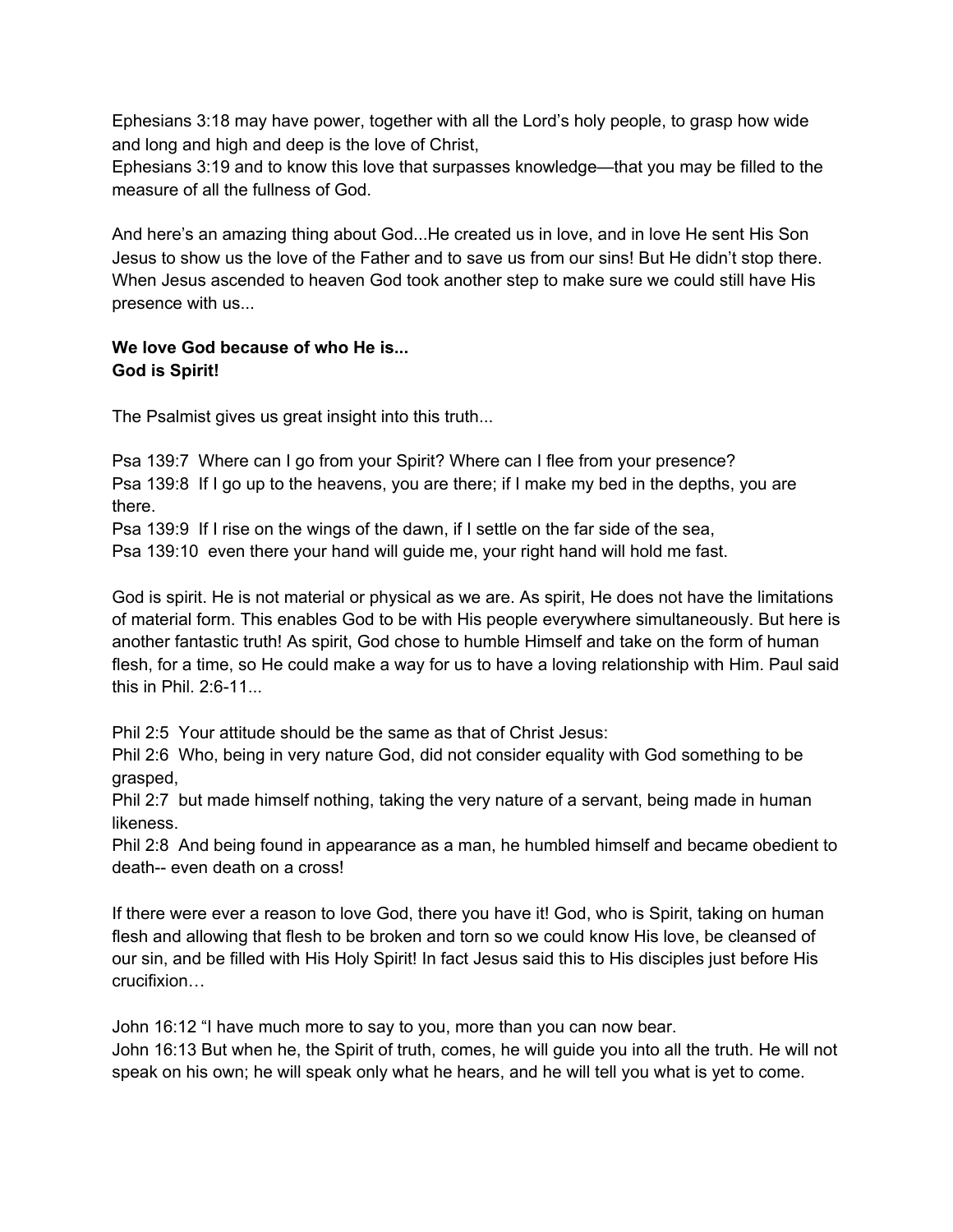Ephesians 3:18 may have power, together with all the Lord's holy people, to grasp how wide and long and high and deep is the love of Christ,

Ephesians 3:19 and to know this love that surpasses knowledge—that you may be filled to the measure of all the fullness of God.

And here's an amazing thing about God...He created us in love, and in love He sent His Son Jesus to show us the love of the Father and to save us from our sins! But He didn't stop there. When Jesus ascended to heaven God took another step to make sure we could still have His presence with us...

# **We love God because of who He is... God is Spirit!**

The Psalmist gives us great insight into this truth...

Psa 139:7 Where can I go from your Spirit? Where can I flee from your presence? Psa 139:8 If I go up to the heavens, you are there; if I make my bed in the depths, you are there.

Psa 139:9 If I rise on the wings of the dawn, if I settle on the far side of the sea,

Psa 139:10 even there your hand will guide me, your right hand will hold me fast.

God is spirit. He is not material or physical as we are. As spirit, He does not have the limitations of material form. This enables God to be with His people everywhere simultaneously. But here is another fantastic truth! As spirit, God chose to humble Himself and take on the form of human flesh, for a time, so He could make a way for us to have a loving relationship with Him. Paul said this in Phil. 2:6-11...

Phil 2:5 Your attitude should be the same as that of Christ Jesus:

Phil 2:6 Who, being in very nature God, did not consider equality with God something to be grasped,

Phil 2:7 but made himself nothing, taking the very nature of a servant, being made in human likeness.

Phil 2:8 And being found in appearance as a man, he humbled himself and became obedient to death-- even death on a cross!

If there were ever a reason to love God, there you have it! God, who is Spirit, taking on human flesh and allowing that flesh to be broken and torn so we could know His love, be cleansed of our sin, and be filled with His Holy Spirit! In fact Jesus said this to His disciples just before His crucifixion…

John 16:12 "I have much more to say to you, more than you can now bear. John 16:13 But when he, the Spirit of truth, comes, he will guide you into all the truth. He will not speak on his own; he will speak only what he hears, and he will tell you what is yet to come.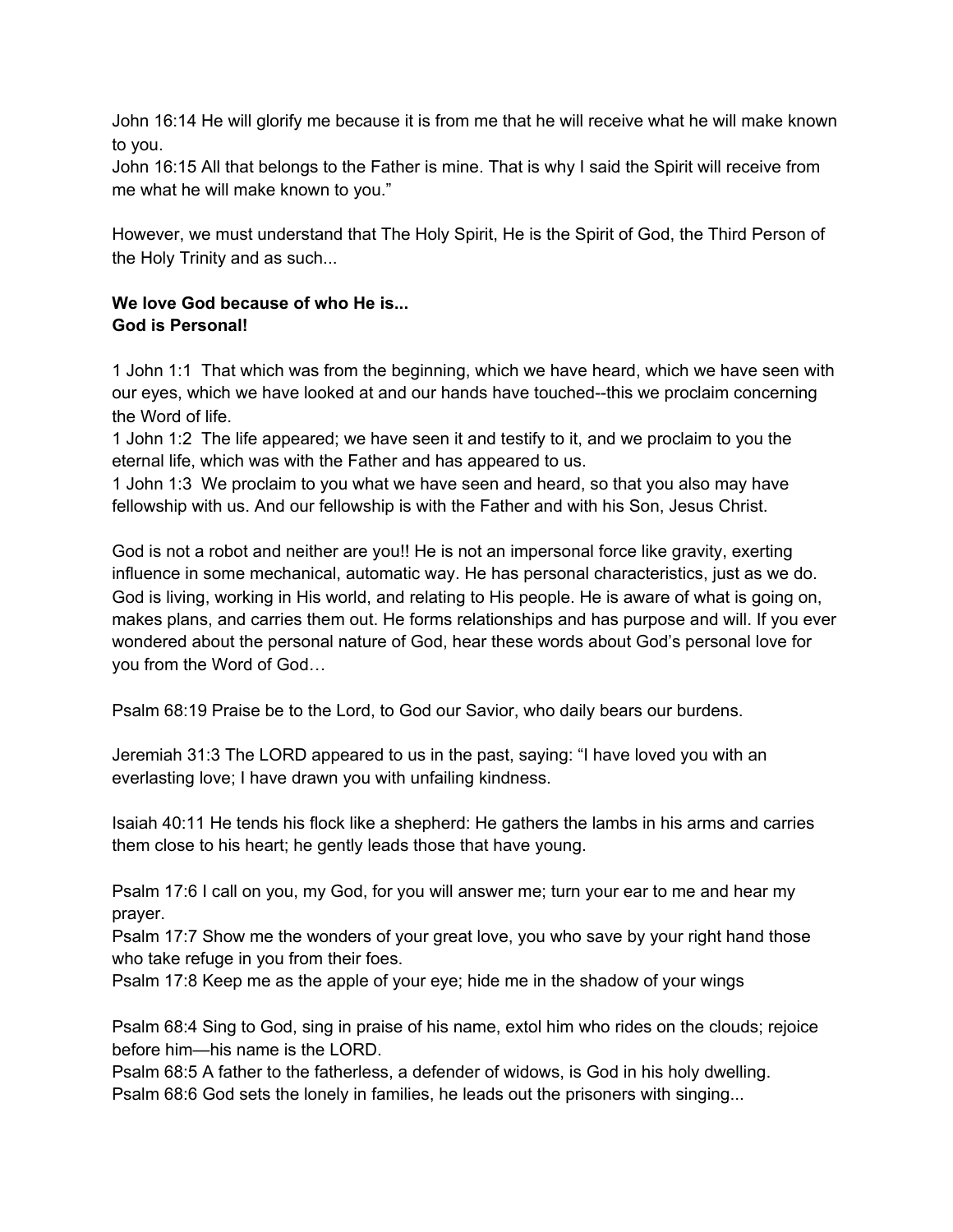John 16:14 He will glorify me because it is from me that he will receive what he will make known to you.

John 16:15 All that belongs to the Father is mine. That is why I said the Spirit will receive from me what he will make known to you."

However, we must understand that The Holy Spirit, He is the Spirit of God, the Third Person of the Holy Trinity and as such...

# **We love God because of who He is... God is Personal!**

1 John 1:1 That which was from the beginning, which we have heard, which we have seen with our eyes, which we have looked at and our hands have touched--this we proclaim concerning the Word of life.

1 John 1:2 The life appeared; we have seen it and testify to it, and we proclaim to you the eternal life, which was with the Father and has appeared to us.

1 John 1:3 We proclaim to you what we have seen and heard, so that you also may have fellowship with us. And our fellowship is with the Father and with his Son, Jesus Christ.

God is not a robot and neither are you!! He is not an impersonal force like gravity, exerting influence in some mechanical, automatic way. He has personal characteristics, just as we do. God is living, working in His world, and relating to His people. He is aware of what is going on, makes plans, and carries them out. He forms relationships and has purpose and will. If you ever wondered about the personal nature of God, hear these words about God's personal love for you from the Word of God…

Psalm 68:19 Praise be to the Lord, to God our Savior, who daily bears our burdens.

Jeremiah 31:3 The LORD appeared to us in the past, saying: "I have loved you with an everlasting love; I have drawn you with unfailing kindness.

Isaiah 40:11 He tends his flock like a shepherd: He gathers the lambs in his arms and carries them close to his heart; he gently leads those that have young.

Psalm 17:6 I call on you, my God, for you will answer me; turn your ear to me and hear my prayer.

Psalm 17:7 Show me the wonders of your great love, you who save by your right hand those who take refuge in you from their foes.

Psalm 17:8 Keep me as the apple of your eye; hide me in the shadow of your wings

Psalm 68:4 Sing to God, sing in praise of his name, extol him who rides on the clouds; rejoice before him—his name is the LORD.

Psalm 68:5 A father to the fatherless, a defender of widows, is God in his holy dwelling. Psalm 68:6 God sets the lonely in families, he leads out the prisoners with singing...